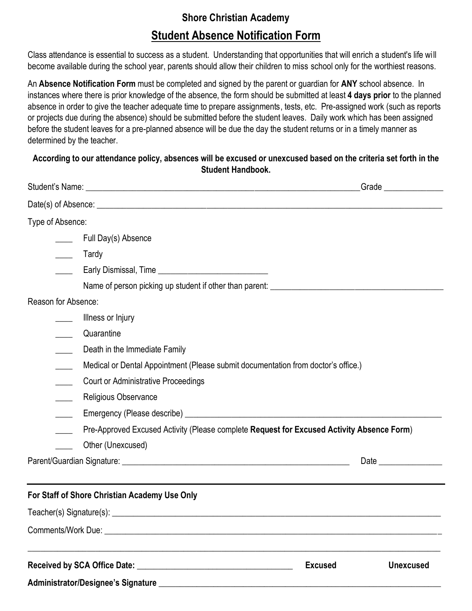### **Shore Christian Academy**

## **Student Absence Notification Form**

Class attendance is essential to success as a student. Understanding that opportunities that will enrich a student's life will become available during the school year, parents should allow their children to miss school only for the worthiest reasons.

An **Absence Notification Form** must be completed and signed by the parent or guardian for **ANY** school absence. In instances where there is prior knowledge of the absence, the form should be submitted at least **4 days prior** to the planned absence in order to give the teacher adequate time to prepare assignments, tests, etc. Pre-assigned work (such as reports or projects due during the absence) should be submitted before the student leaves. Daily work which has been assigned before the student leaves for a pre-planned absence will be due the day the student returns or in a timely manner as determined by the teacher.

### **According to our attendance policy, absences will be excused or unexcused based on the criteria set forth in the Student Handbook.**

|                                                                                                                                 | Grade <b>Santa Communication</b> |                                                                                                                                                                                                                                      |  |
|---------------------------------------------------------------------------------------------------------------------------------|----------------------------------|--------------------------------------------------------------------------------------------------------------------------------------------------------------------------------------------------------------------------------------|--|
|                                                                                                                                 |                                  |                                                                                                                                                                                                                                      |  |
| Type of Absence:                                                                                                                |                                  |                                                                                                                                                                                                                                      |  |
| <b>Example 21</b> Full Day(s) Absence                                                                                           |                                  |                                                                                                                                                                                                                                      |  |
| Tardy<br>$\mathcal{L}_{\text{max}}$                                                                                             |                                  |                                                                                                                                                                                                                                      |  |
|                                                                                                                                 |                                  |                                                                                                                                                                                                                                      |  |
|                                                                                                                                 |                                  |                                                                                                                                                                                                                                      |  |
| Reason for Absence:                                                                                                             |                                  |                                                                                                                                                                                                                                      |  |
| Illness or Injury                                                                                                               |                                  |                                                                                                                                                                                                                                      |  |
| Quarantine                                                                                                                      |                                  |                                                                                                                                                                                                                                      |  |
| Death in the Immediate Family                                                                                                   |                                  |                                                                                                                                                                                                                                      |  |
| Medical or Dental Appointment (Please submit documentation from doctor's office.)<br><b>Court or Administrative Proceedings</b> |                                  |                                                                                                                                                                                                                                      |  |
|                                                                                                                                 |                                  |                                                                                                                                                                                                                                      |  |
| $\mathcal{L}_{\text{max}}$                                                                                                      |                                  |                                                                                                                                                                                                                                      |  |
| Pre-Approved Excused Activity (Please complete Request for Excused Activity Absence Form)                                       |                                  |                                                                                                                                                                                                                                      |  |
| Other (Unexcused)                                                                                                               |                                  |                                                                                                                                                                                                                                      |  |
|                                                                                                                                 |                                  | Date <u>superior and the set of the set of the set of the set of the set of the set of the set of the set of the set of the set of the set of the set of the set of the set of the set of the set of the set of the set of the s</u> |  |
| For Staff of Shore Christian Academy Use Only                                                                                   |                                  |                                                                                                                                                                                                                                      |  |
|                                                                                                                                 |                                  |                                                                                                                                                                                                                                      |  |
|                                                                                                                                 |                                  |                                                                                                                                                                                                                                      |  |
|                                                                                                                                 | <b>Excused</b>                   | <b>Unexcused</b>                                                                                                                                                                                                                     |  |
|                                                                                                                                 |                                  |                                                                                                                                                                                                                                      |  |